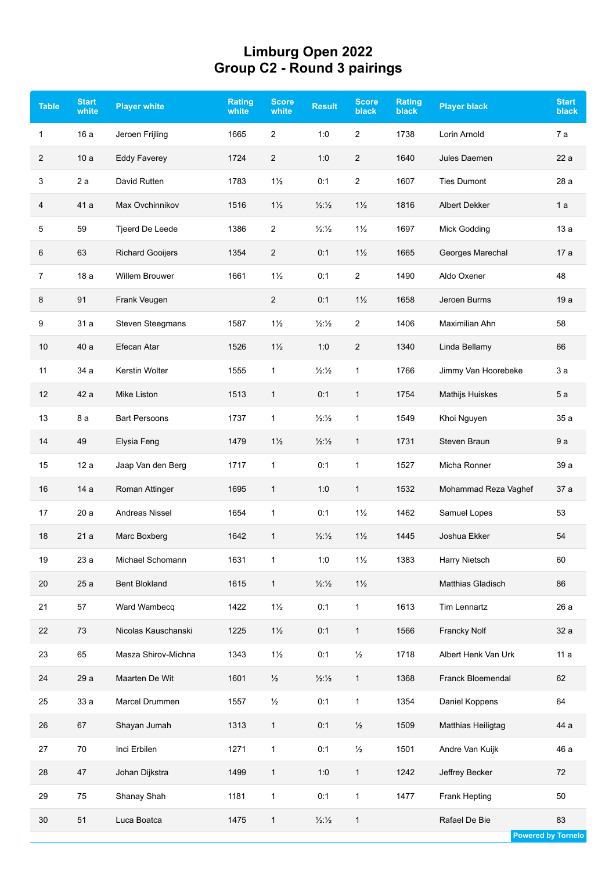## **Limburg Open 2022 Group C2 - Round 3 pairings**

| <b>Table</b>   | <b>Start</b><br>white | <b>Player white</b>     | Rating<br>white | <b>Score</b><br>white | <b>Result</b>               | <b>Score</b><br><b>black</b> | <b>Rating</b><br><b>black</b> | <b>Player black</b>  | <b>Start</b><br><b>black</b> |
|----------------|-----------------------|-------------------------|-----------------|-----------------------|-----------------------------|------------------------------|-------------------------------|----------------------|------------------------------|
| 1              | 16 a                  | Jeroen Frijling         | 1665            | $\overline{2}$        | 1:0                         | $\overline{2}$               | 1738                          | Lorin Arnold         | 7a                           |
| $\overline{c}$ | 10a                   | <b>Eddy Faverey</b>     | 1724            | $\overline{2}$        | 1:0                         | $\overline{c}$               | 1640                          | Jules Daemen         | 22a                          |
| 3              | 2a                    | David Rutten            | 1783            | $1\frac{1}{2}$        | 0:1                         | $\overline{c}$               | 1607                          | <b>Ties Dumont</b>   | 28 a                         |
| 4              | 41 a                  | Max Ovchinnikov         | 1516            | $1\frac{1}{2}$        | $\frac{1}{2}\frac{1}{2}$    | $1\frac{1}{2}$               | 1816                          | Albert Dekker        | 1a                           |
| 5              | 59                    | Tjeerd De Leede         | 1386            | $\overline{2}$        | $\frac{1}{2}$ $\frac{1}{2}$ | $1\frac{1}{2}$               | 1697                          | Mick Godding         | 13a                          |
| 6              | 63                    | <b>Richard Gooijers</b> | 1354            | $\overline{2}$        | 0:1                         | $1\frac{1}{2}$               | 1665                          | Georges Marechal     | 17 a                         |
| 7              | 18 a                  | <b>Willem Brouwer</b>   | 1661            | $1\frac{1}{2}$        | 0:1                         | $\overline{2}$               | 1490                          | Aldo Oxener          | 48                           |
| 8              | 91                    | Frank Veugen            |                 | $\overline{2}$        | 0:1                         | $1\frac{1}{2}$               | 1658                          | Jeroen Burms         | 19 a                         |
| 9              | 31 a                  | <b>Steven Steegmans</b> | 1587            | $1\frac{1}{2}$        | $\frac{1}{2}\frac{1}{2}$    | $\overline{2}$               | 1406                          | Maximilian Ahn       | 58                           |
| 10             | 40 a                  | Efecan Atar             | 1526            | $1\frac{1}{2}$        | 1:0                         | $\overline{c}$               | 1340                          | Linda Bellamy        | 66                           |
| 11             | 34 a                  | Kerstin Wolter          | 1555            | $\mathbf{1}$          | $\frac{1}{2}$ $\frac{1}{2}$ | 1                            | 1766                          | Jimmy Van Hoorebeke  | 3а                           |
| 12             | 42 a                  | Mike Liston             | 1513            | $\mathbf{1}$          | 0:1                         | 1                            | 1754                          | Mathijs Huiskes      | 5a                           |
| 13             | 8 a                   | <b>Bart Persoons</b>    | 1737            | $\mathbf{1}$          | $\frac{1}{2}$ $\frac{1}{2}$ | 1                            | 1549                          | Khoi Nguyen          | 35 a                         |
| 14             | 49                    | Elysia Feng             | 1479            | $1\frac{1}{2}$        | $\frac{1}{2}\frac{1}{2}$    | 1                            | 1731                          | Steven Braun         | 9a                           |
| 15             | 12a                   | Jaap Van den Berg       | 1717            | 1                     | 0:1                         | 1                            | 1527                          | Micha Ronner         | 39 a                         |
| 16             | 14 a                  | Roman Attinger          | 1695            | $\mathbf{1}$          | 1:0                         | 1                            | 1532                          | Mohammad Reza Vaghef | 37 a                         |
| 17             | 20a                   | Andreas Nissel          | 1654            | $\mathbf{1}$          | 0:1                         | $1\frac{1}{2}$               | 1462                          | Samuel Lopes         | 53                           |
| 18             | 21a                   | Marc Boxberg            | 1642            | $\mathbf{1}$          | $\frac{1}{2}$ $\frac{1}{2}$ | $1\frac{1}{2}$               | 1445                          | Joshua Ekker         | 54                           |
| 19             | 23 a                  | Michael Schomann        | 1631            |                       | $1:0$                       | $1\frac{1}{2}$               | 1383                          | Harry Nietsch        | 60                           |
| 20             | 25a                   | <b>Bent Blokland</b>    | 1615            | $\mathbf{1}$          | $\frac{1}{2}$ $\frac{1}{2}$ | $1\frac{1}{2}$               |                               | Matthias Gladisch    | 86                           |
| 21             | 57                    | Ward Wambecq            | 1422            | $1\frac{1}{2}$        | 0:1                         | 1                            | 1613                          | Tim Lennartz         | 26 a                         |
| 22             | 73                    | Nicolas Kauschanski     | 1225            | $1\frac{1}{2}$        | 0:1                         | $\mathbf{1}$                 | 1566                          | Francky Nolf         | 32 a                         |
| 23             | 65                    | Masza Shirov-Michna     | 1343            | $1\frac{1}{2}$        | 0:1                         | $\frac{1}{2}$                | 1718                          | Albert Henk Van Urk  | 11a                          |
| 24             | 29 a                  | Maarten De Wit          | 1601            | $\frac{1}{2}$         | $\frac{1}{2}$ $\frac{1}{2}$ | $\mathbf{1}$                 | 1368                          | Franck Bloemendal    | 62                           |
| 25             | 33 a                  | Marcel Drummen          | 1557            | $\frac{1}{2}$         | 0:1                         | $\mathbf{1}$                 | 1354                          | Daniel Koppens       | 64                           |
| 26             | 67                    | Shayan Jumah            | 1313            | $\mathbf{1}$          | 0:1                         | $\frac{1}{2}$                | 1509                          | Matthias Heiligtag   | 44 a                         |
| 27             | 70                    | Inci Erbilen            | 1271            | $\mathbf{1}$          | 0:1                         | $\frac{1}{2}$                | 1501                          | Andre Van Kuijk      | 46 a                         |
| 28             | 47                    | Johan Dijkstra          | 1499            | $\mathbf{1}$          | 1:0                         | $\mathbf{1}$                 | 1242                          | Jeffrey Becker       | 72                           |
| 29             | 75                    | Shanay Shah             | 1181            | $\mathbf{1}$          | 0:1                         | 1                            | 1477                          | Frank Hepting        | 50                           |
| 30             | 51                    | Luca Boatca             | 1475            | $\mathbf{1}$          | $\frac{1}{2}$ $\frac{1}{2}$ | $\mathbf{1}$                 |                               | Rafael De Bie        | 83                           |

**Powered by Tornelo**